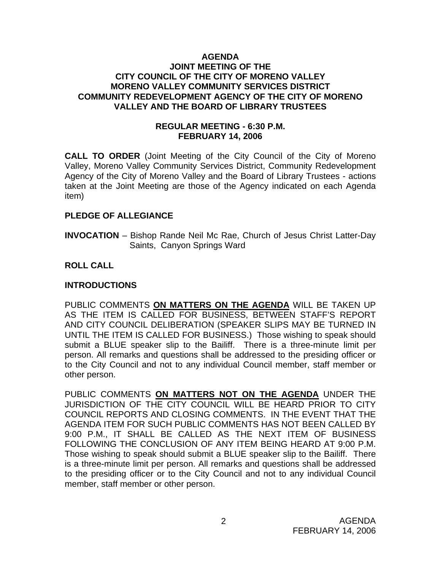### **AGENDA JOINT MEETING OF THE CITY COUNCIL OF THE CITY OF MORENO VALLEY MORENO VALLEY COMMUNITY SERVICES DISTRICT COMMUNITY REDEVELOPMENT AGENCY OF THE CITY OF MORENO VALLEY AND THE BOARD OF LIBRARY TRUSTEES**

## **REGULAR MEETING - 6:30 P.M. FEBRUARY 14, 2006**

**CALL TO ORDER** (Joint Meeting of the City Council of the City of Moreno Valley, Moreno Valley Community Services District, Community Redevelopment Agency of the City of Moreno Valley and the Board of Library Trustees - actions taken at the Joint Meeting are those of the Agency indicated on each Agenda item)

### **PLEDGE OF ALLEGIANCE**

**INVOCATION** – Bishop Rande Neil Mc Rae, Church of Jesus Christ Latter-Day Saints, Canyon Springs Ward

### **ROLL CALL**

## **INTRODUCTIONS**

PUBLIC COMMENTS **ON MATTERS ON THE AGENDA** WILL BE TAKEN UP AS THE ITEM IS CALLED FOR BUSINESS, BETWEEN STAFF'S REPORT AND CITY COUNCIL DELIBERATION (SPEAKER SLIPS MAY BE TURNED IN UNTIL THE ITEM IS CALLED FOR BUSINESS.) Those wishing to speak should submit a BLUE speaker slip to the Bailiff. There is a three-minute limit per person. All remarks and questions shall be addressed to the presiding officer or to the City Council and not to any individual Council member, staff member or other person.

PUBLIC COMMENTS **ON MATTERS NOT ON THE AGENDA** UNDER THE JURISDICTION OF THE CITY COUNCIL WILL BE HEARD PRIOR TO CITY COUNCIL REPORTS AND CLOSING COMMENTS. IN THE EVENT THAT THE AGENDA ITEM FOR SUCH PUBLIC COMMENTS HAS NOT BEEN CALLED BY 9:00 P.M., IT SHALL BE CALLED AS THE NEXT ITEM OF BUSINESS FOLLOWING THE CONCLUSION OF ANY ITEM BEING HEARD AT 9:00 P.M. Those wishing to speak should submit a BLUE speaker slip to the Bailiff. There is a three-minute limit per person. All remarks and questions shall be addressed to the presiding officer or to the City Council and not to any individual Council member, staff member or other person.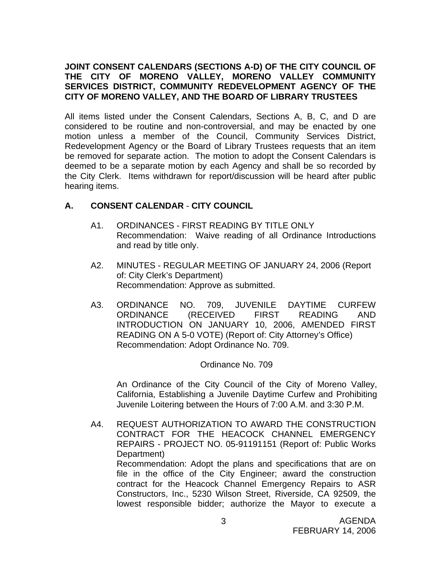## **JOINT CONSENT CALENDARS (SECTIONS A-D) OF THE CITY COUNCIL OF THE CITY OF MORENO VALLEY, MORENO VALLEY COMMUNITY SERVICES DISTRICT, COMMUNITY REDEVELOPMENT AGENCY OF THE CITY OF MORENO VALLEY, AND THE BOARD OF LIBRARY TRUSTEES**

All items listed under the Consent Calendars, Sections A, B, C, and D are considered to be routine and non-controversial, and may be enacted by one motion unless a member of the Council, Community Services District, Redevelopment Agency or the Board of Library Trustees requests that an item be removed for separate action. The motion to adopt the Consent Calendars is deemed to be a separate motion by each Agency and shall be so recorded by the City Clerk. Items withdrawn for report/discussion will be heard after public hearing items.

# **A. CONSENT CALENDAR** - **CITY COUNCIL**

- A1. ORDINANCES FIRST READING BY TITLE ONLY Recommendation: Waive reading of all Ordinance Introductions and read by title only.
- A2. MINUTES REGULAR MEETING OF JANUARY 24, 2006 (Report of: City Clerk's Department) Recommendation: Approve as submitted.
- A3. ORDINANCE NO. 709, JUVENILE DAYTIME CURFEW ORDINANCE (RECEIVED FIRST READING AND INTRODUCTION ON JANUARY 10, 2006, AMENDED FIRST READING ON A 5-0 VOTE) (Report of: City Attorney's Office) Recommendation: Adopt Ordinance No. 709.

### Ordinance No. 709

 An Ordinance of the City Council of the City of Moreno Valley, California, Establishing a Juvenile Daytime Curfew and Prohibiting Juvenile Loitering between the Hours of 7:00 A.M. and 3:30 P.M.

A4. REQUEST AUTHORIZATION TO AWARD THE CONSTRUCTION CONTRACT FOR THE HEACOCK CHANNEL EMERGENCY REPAIRS - PROJECT NO. 05-91191151 (Report of: Public Works Department) Recommendation: Adopt the plans and specifications that are on file in the office of the City Engineer; award the construction contract for the Heacock Channel Emergency Repairs to ASR Constructors, Inc., 5230 Wilson Street, Riverside, CA 92509, the lowest responsible bidder; authorize the Mayor to execute a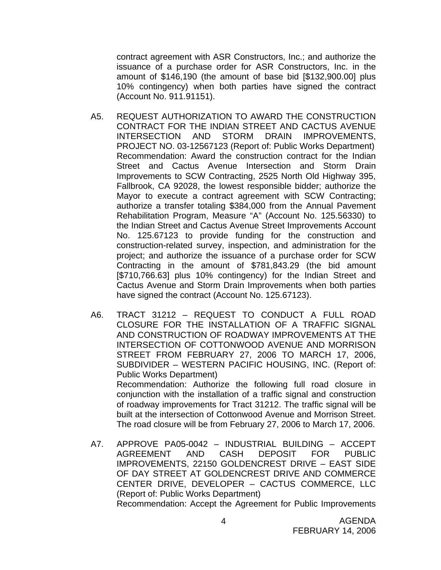contract agreement with ASR Constructors, Inc.; and authorize the issuance of a purchase order for ASR Constructors, Inc. in the amount of \$146,190 (the amount of base bid [\$132,900.00] plus 10% contingency) when both parties have signed the contract (Account No. 911.91151).

- A5. REQUEST AUTHORIZATION TO AWARD THE CONSTRUCTION CONTRACT FOR THE INDIAN STREET AND CACTUS AVENUE INTERSECTION AND STORM DRAIN IMPROVEMENTS, PROJECT NO. 03-12567123 (Report of: Public Works Department) Recommendation: Award the construction contract for the Indian Street and Cactus Avenue Intersection and Storm Drain Improvements to SCW Contracting, 2525 North Old Highway 395, Fallbrook, CA 92028, the lowest responsible bidder; authorize the Mayor to execute a contract agreement with SCW Contracting; authorize a transfer totaling \$384,000 from the Annual Pavement Rehabilitation Program, Measure "A" (Account No. 125.56330) to the Indian Street and Cactus Avenue Street Improvements Account No. 125.67123 to provide funding for the construction and construction-related survey, inspection, and administration for the project; and authorize the issuance of a purchase order for SCW Contracting in the amount of \$781,843.29 (the bid amount [\$710,766.63] plus 10% contingency) for the Indian Street and Cactus Avenue and Storm Drain Improvements when both parties have signed the contract (Account No. 125.67123).
- A6. TRACT 31212 REQUEST TO CONDUCT A FULL ROAD CLOSURE FOR THE INSTALLATION OF A TRAFFIC SIGNAL AND CONSTRUCTION OF ROADWAY IMPROVEMENTS AT THE INTERSECTION OF COTTONWOOD AVENUE AND MORRISON STREET FROM FEBRUARY 27, 2006 TO MARCH 17, 2006, SUBDIVIDER – WESTERN PACIFIC HOUSING, INC. (Report of: Public Works Department) Recommendation: Authorize the following full road closure in conjunction with the installation of a traffic signal and construction of roadway improvements for Tract 31212. The traffic signal will be built at the intersection of Cottonwood Avenue and Morrison Street. The road closure will be from February 27, 2006 to March 17, 2006.
- A7. APPROVE PA05-0042 INDUSTRIAL BUILDING ACCEPT AGREEMENT AND CASH DEPOSIT FOR PUBLIC IMPROVEMENTS, 22150 GOLDENCREST DRIVE – EAST SIDE OF DAY STREET AT GOLDENCREST DRIVE AND COMMERCE CENTER DRIVE, DEVELOPER – CACTUS COMMERCE, LLC (Report of: Public Works Department) Recommendation: Accept the Agreement for Public Improvements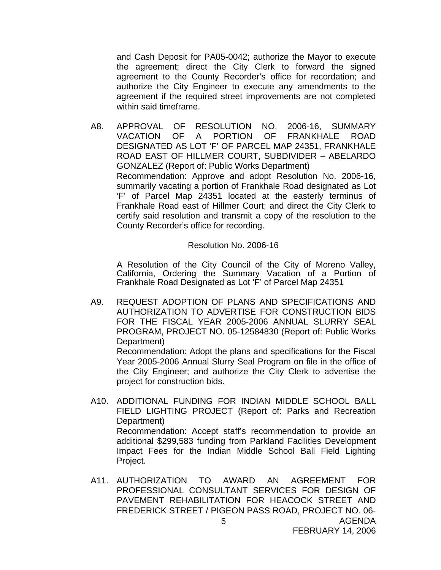and Cash Deposit for PA05-0042; authorize the Mayor to execute the agreement; direct the City Clerk to forward the signed agreement to the County Recorder's office for recordation; and authorize the City Engineer to execute any amendments to the agreement if the required street improvements are not completed within said timeframe.

A8. APPROVAL OF RESOLUTION NO. 2006-16, SUMMARY VACATION OF A PORTION OF FRANKHALE ROAD DESIGNATED AS LOT 'F' OF PARCEL MAP 24351, FRANKHALE ROAD EAST OF HILLMER COURT, SUBDIVIDER – ABELARDO GONZALEZ (Report of: Public Works Department) Recommendation: Approve and adopt Resolution No. 2006-16, summarily vacating a portion of Frankhale Road designated as Lot 'F' of Parcel Map 24351 located at the easterly terminus of Frankhale Road east of Hillmer Court; and direct the City Clerk to certify said resolution and transmit a copy of the resolution to the County Recorder's office for recording.

Resolution No. 2006-16

A Resolution of the City Council of the City of Moreno Valley, California, Ordering the Summary Vacation of a Portion of Frankhale Road Designated as Lot 'F' of Parcel Map 24351

A9. REQUEST ADOPTION OF PLANS AND SPECIFICATIONS AND AUTHORIZATION TO ADVERTISE FOR CONSTRUCTION BIDS FOR THE FISCAL YEAR 2005-2006 ANNUAL SLURRY SEAL PROGRAM, PROJECT NO. 05-12584830 (Report of: Public Works Department)

 Recommendation: Adopt the plans and specifications for the Fiscal Year 2005-2006 Annual Slurry Seal Program on file in the office of the City Engineer; and authorize the City Clerk to advertise the project for construction bids.

- A10. ADDITIONAL FUNDING FOR INDIAN MIDDLE SCHOOL BALL FIELD LIGHTING PROJECT (Report of: Parks and Recreation Department) Recommendation: Accept staff's recommendation to provide an additional \$299,583 funding from Parkland Facilities Development Impact Fees for the Indian Middle School Ball Field Lighting Project.
- AGENDA 5 A11. AUTHORIZATION TO AWARD AN AGREEMENT FOR PROFESSIONAL CONSULTANT SERVICES FOR DESIGN OF PAVEMENT REHABILITATION FOR HEACOCK STREET AND FREDERICK STREET / PIGEON PASS ROAD, PROJECT NO. 06-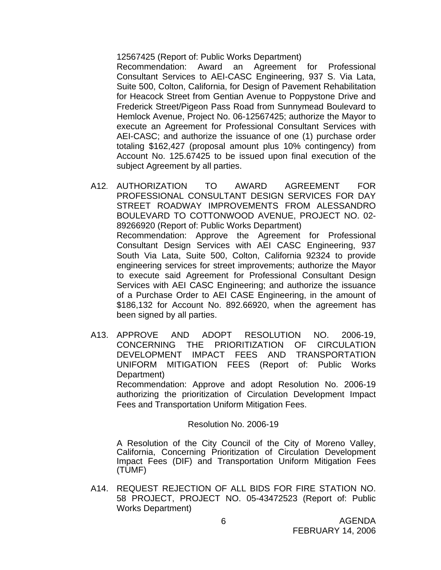12567425 (Report of: Public Works Department)

 Recommendation: Award an Agreement for Professional Consultant Services to AEI-CASC Engineering, 937 S. Via Lata, Suite 500, Colton, California, for Design of Pavement Rehabilitation for Heacock Street from Gentian Avenue to Poppystone Drive and Frederick Street/Pigeon Pass Road from Sunnymead Boulevard to Hemlock Avenue, Project No. 06-12567425; authorize the Mayor to execute an Agreement for Professional Consultant Services with AEI-CASC; and authorize the issuance of one (1) purchase order totaling \$162,427 (proposal amount plus 10% contingency) from Account No. 125.67425 to be issued upon final execution of the subject Agreement by all parties.

- A12. AUTHORIZATION TO AWARD AGREEMENT FOR PROFESSIONAL CONSULTANT DESIGN SERVICES FOR DAY STREET ROADWAY IMPROVEMENTS FROM ALESSANDRO BOULEVARD TO COTTONWOOD AVENUE, PROJECT NO. 02- 89266920 (Report of: Public Works Department) Recommendation: Approve the Agreement for Professional Consultant Design Services with AEI CASC Engineering, 937 South Via Lata, Suite 500, Colton, California 92324 to provide engineering services for street improvements; authorize the Mayor to execute said Agreement for Professional Consultant Design Services with AEI CASC Engineering; and authorize the issuance of a Purchase Order to AEI CASE Engineering, in the amount of \$186,132 for Account No. 892.66920, when the agreement has been signed by all parties.
- A13. APPROVE AND ADOPT RESOLUTION NO. 2006-19, CONCERNING THE PRIORITIZATION OF CIRCULATION DEVELOPMENT IMPACT FEES AND TRANSPORTATION UNIFORM MITIGATION FEES (Report of: Public Works Department)

 Recommendation: Approve and adopt Resolution No. 2006-19 authorizing the prioritization of Circulation Development Impact Fees and Transportation Uniform Mitigation Fees.

#### Resolution No. 2006-19

 A Resolution of the City Council of the City of Moreno Valley, California, Concerning Prioritization of Circulation Development Impact Fees (DIF) and Transportation Uniform Mitigation Fees (TUMF)

A14. REQUEST REJECTION OF ALL BIDS FOR FIRE STATION NO. 58 PROJECT, PROJECT NO. 05-43472523 (Report of: Public Works Department)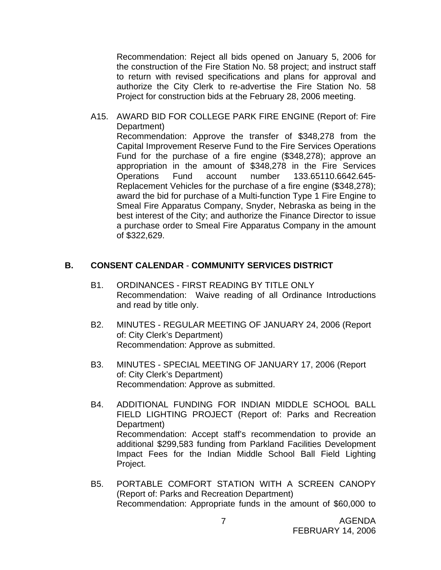Recommendation: Reject all bids opened on January 5, 2006 for the construction of the Fire Station No. 58 project; and instruct staff to return with revised specifications and plans for approval and authorize the City Clerk to re-advertise the Fire Station No. 58 Project for construction bids at the February 28, 2006 meeting.

A15. AWARD BID FOR COLLEGE PARK FIRE ENGINE (Report of: Fire Department) Recommendation: Approve the transfer of \$348,278 from the Capital Improvement Reserve Fund to the Fire Services Operations Fund for the purchase of a fire engine (\$348,278); approve an appropriation in the amount of \$348,278 in the Fire Services Operations Fund account number 133.65110.6642.645- Replacement Vehicles for the purchase of a fire engine (\$348,278); award the bid for purchase of a Multi-function Type 1 Fire Engine to Smeal Fire Apparatus Company, Snyder, Nebraska as being in the best interest of the City; and authorize the Finance Director to issue a purchase order to Smeal Fire Apparatus Company in the amount of \$322,629.

#### **B. CONSENT CALENDAR** - **COMMUNITY SERVICES DISTRICT**

- B1. ORDINANCES FIRST READING BY TITLE ONLY Recommendation: Waive reading of all Ordinance Introductions and read by title only.
- B2. MINUTES REGULAR MEETING OF JANUARY 24, 2006 (Report of: City Clerk's Department) Recommendation: Approve as submitted.
- B3. MINUTES SPECIAL MEETING OF JANUARY 17, 2006 (Report of: City Clerk's Department) Recommendation: Approve as submitted.
- B4. ADDITIONAL FUNDING FOR INDIAN MIDDLE SCHOOL BALL FIELD LIGHTING PROJECT (Report of: Parks and Recreation Department) Recommendation: Accept staff's recommendation to provide an additional \$299,583 funding from Parkland Facilities Development Impact Fees for the Indian Middle School Ball Field Lighting Project.
- B5. PORTABLE COMFORT STATION WITH A SCREEN CANOPY (Report of: Parks and Recreation Department) Recommendation: Appropriate funds in the amount of \$60,000 to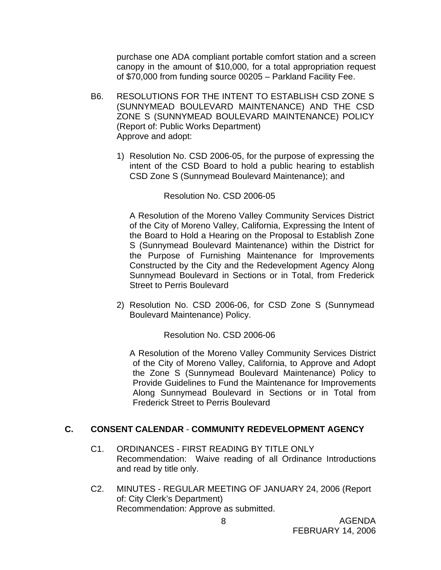purchase one ADA compliant portable comfort station and a screen canopy in the amount of \$10,000, for a total appropriation request of \$70,000 from funding source 00205 – Parkland Facility Fee.

- B6. RESOLUTIONS FOR THE INTENT TO ESTABLISH CSD ZONE S (SUNNYMEAD BOULEVARD MAINTENANCE) AND THE CSD ZONE S (SUNNYMEAD BOULEVARD MAINTENANCE) POLICY (Report of: Public Works Department) Approve and adopt:
	- 1) Resolution No. CSD 2006-05, for the purpose of expressing the intent of the CSD Board to hold a public hearing to establish CSD Zone S (Sunnymead Boulevard Maintenance); and

Resolution No. CSD 2006-05

 A Resolution of the Moreno Valley Community Services District of the City of Moreno Valley, California, Expressing the Intent of the Board to Hold a Hearing on the Proposal to Establish Zone S (Sunnymead Boulevard Maintenance) within the District for the Purpose of Furnishing Maintenance for Improvements Constructed by the City and the Redevelopment Agency Along Sunnymead Boulevard in Sections or in Total, from Frederick Street to Perris Boulevard

2) Resolution No. CSD 2006-06, for CSD Zone S (Sunnymead Boulevard Maintenance) Policy.

Resolution No. CSD 2006-06

A Resolution of the Moreno Valley Community Services District of the City of Moreno Valley, California, to Approve and Adopt the Zone S (Sunnymead Boulevard Maintenance) Policy to Provide Guidelines to Fund the Maintenance for Improvements Along Sunnymead Boulevard in Sections or in Total from Frederick Street to Perris Boulevard

### **C. CONSENT CALENDAR** - **COMMUNITY REDEVELOPMENT AGENCY**

- C1. ORDINANCES FIRST READING BY TITLE ONLY Recommendation: Waive reading of all Ordinance Introductions and read by title only.
- C2. MINUTES REGULAR MEETING OF JANUARY 24, 2006 (Report of: City Clerk's Department) Recommendation: Approve as submitted.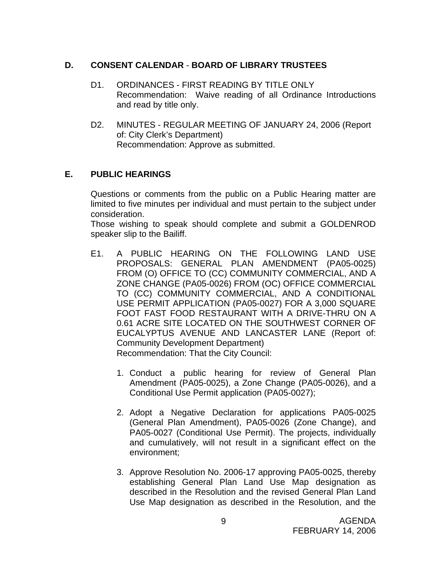## **D. CONSENT CALENDAR** - **BOARD OF LIBRARY TRUSTEES**

- D1. ORDINANCES FIRST READING BY TITLE ONLY Recommendation: Waive reading of all Ordinance Introductions and read by title only.
- D2. MINUTES REGULAR MEETING OF JANUARY 24, 2006 (Report of: City Clerk's Department) Recommendation: Approve as submitted.

# **E. PUBLIC HEARINGS**

Questions or comments from the public on a Public Hearing matter are limited to five minutes per individual and must pertain to the subject under consideration.

 Those wishing to speak should complete and submit a GOLDENROD speaker slip to the Bailiff.

- E1. A PUBLIC HEARING ON THE FOLLOWING LAND USE PROPOSALS: GENERAL PLAN AMENDMENT (PA05-0025) FROM (O) OFFICE TO (CC) COMMUNITY COMMERCIAL, AND A ZONE CHANGE (PA05-0026) FROM (OC) OFFICE COMMERCIAL TO (CC) COMMUNITY COMMERCIAL, AND A CONDITIONAL USE PERMIT APPLICATION (PA05-0027) FOR A 3,000 SQUARE FOOT FAST FOOD RESTAURANT WITH A DRIVE-THRU ON A 0.61 ACRE SITE LOCATED ON THE SOUTHWEST CORNER OF EUCALYPTUS AVENUE AND LANCASTER LANE (Report of: Community Development Department) Recommendation: That the City Council:
	- 1. Conduct a public hearing for review of General Plan Amendment (PA05-0025), a Zone Change (PA05-0026), and a Conditional Use Permit application (PA05-0027);
	- 2. Adopt a Negative Declaration for applications PA05-0025 (General Plan Amendment), PA05-0026 (Zone Change), and PA05-0027 (Conditional Use Permit). The projects, individually and cumulatively, will not result in a significant effect on the environment;
	- 3. Approve Resolution No. 2006-17 approving PA05-0025, thereby establishing General Plan Land Use Map designation as described in the Resolution and the revised General Plan Land Use Map designation as described in the Resolution, and the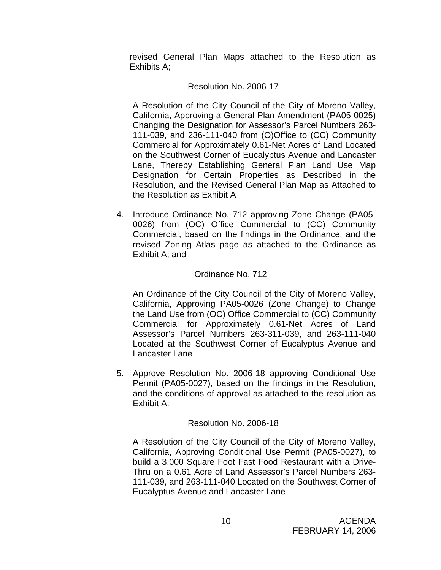revised General Plan Maps attached to the Resolution as Exhibits A;

## Resolution No. 2006-17

A Resolution of the City Council of the City of Moreno Valley, California, Approving a General Plan Amendment (PA05-0025) Changing the Designation for Assessor's Parcel Numbers 263- 111-039, and 236-111-040 from (O)Office to (CC) Community Commercial for Approximately 0.61-Net Acres of Land Located on the Southwest Corner of Eucalyptus Avenue and Lancaster Lane, Thereby Establishing General Plan Land Use Map Designation for Certain Properties as Described in the Resolution, and the Revised General Plan Map as Attached to the Resolution as Exhibit A

 4. Introduce Ordinance No. 712 approving Zone Change (PA05- 0026) from (OC) Office Commercial to (CC) Community Commercial, based on the findings in the Ordinance, and the revised Zoning Atlas page as attached to the Ordinance as Exhibit A; and

# Ordinance No. 712

An Ordinance of the City Council of the City of Moreno Valley, California, Approving PA05-0026 (Zone Change) to Change the Land Use from (OC) Office Commercial to (CC) Community Commercial for Approximately 0.61-Net Acres of Land Assessor's Parcel Numbers 263-311-039, and 263-111-040 Located at the Southwest Corner of Eucalyptus Avenue and Lancaster Lane

5. Approve Resolution No. 2006-18 approving Conditional Use Permit (PA05-0027), based on the findings in the Resolution, and the conditions of approval as attached to the resolution as Exhibit A.

# Resolution No. 2006-18

A Resolution of the City Council of the City of Moreno Valley, California, Approving Conditional Use Permit (PA05-0027), to build a 3,000 Square Foot Fast Food Restaurant with a Drive-Thru on a 0.61 Acre of Land Assessor's Parcel Numbers 263- 111-039, and 263-111-040 Located on the Southwest Corner of Eucalyptus Avenue and Lancaster Lane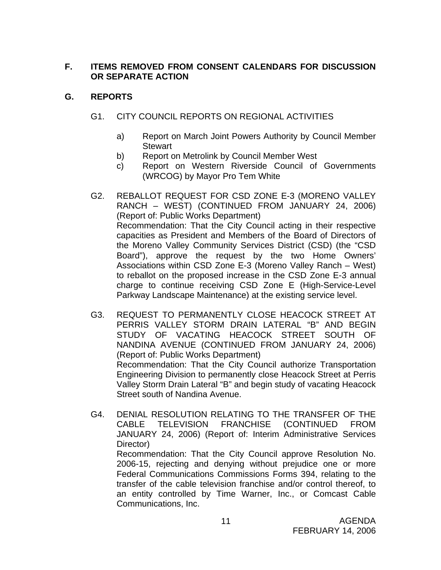# **F. ITEMS REMOVED FROM CONSENT CALENDARS FOR DISCUSSION OR SEPARATE ACTION**

# **G. REPORTS**

# G1. CITY COUNCIL REPORTS ON REGIONAL ACTIVITIES

- a) Report on March Joint Powers Authority by Council Member **Stewart**
- b) Report on Metrolink by Council Member West
- c) Report on Western Riverside Council of Governments (WRCOG) by Mayor Pro Tem White
- G2. REBALLOT REQUEST FOR CSD ZONE E-3 (MORENO VALLEY RANCH – WEST) (CONTINUED FROM JANUARY 24, 2006) (Report of: Public Works Department) Recommendation: That the City Council acting in their respective capacities as President and Members of the Board of Directors of the Moreno Valley Community Services District (CSD) (the "CSD Board"), approve the request by the two Home Owners' Associations within CSD Zone E-3 (Moreno Valley Ranch – West) to reballot on the proposed increase in the CSD Zone E-3 annual charge to continue receiving CSD Zone E (High-Service-Level Parkway Landscape Maintenance) at the existing service level.
- G3. REQUEST TO PERMANENTLY CLOSE HEACOCK STREET AT PERRIS VALLEY STORM DRAIN LATERAL "B" AND BEGIN STUDY OF VACATING HEACOCK STREET SOUTH OF NANDINA AVENUE (CONTINUED FROM JANUARY 24, 2006) (Report of: Public Works Department) Recommendation: That the City Council authorize Transportation Engineering Division to permanently close Heacock Street at Perris Valley Storm Drain Lateral "B" and begin study of vacating Heacock Street south of Nandina Avenue.
- G4. DENIAL RESOLUTION RELATING TO THE TRANSFER OF THE CABLE TELEVISION FRANCHISE (CONTINUED FROM JANUARY 24, 2006) (Report of: Interim Administrative Services Director) Recommendation: That the City Council approve Resolution No. 2006-15, rejecting and denying without prejudice one or more Federal Communications Commissions Forms 394, relating to the transfer of the cable television franchise and/or control thereof, to an entity controlled by Time Warner, Inc., or Comcast Cable Communications, Inc.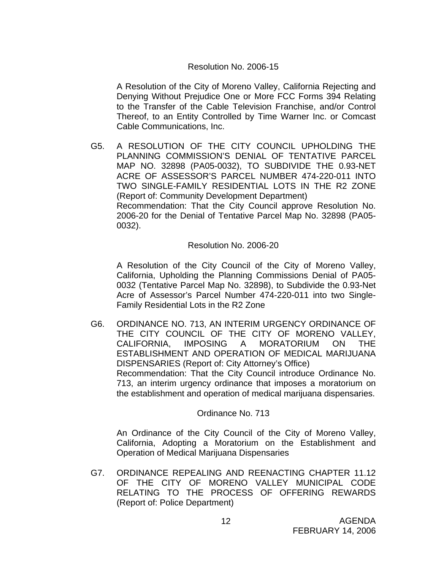### Resolution No. 2006-15

A Resolution of the City of Moreno Valley, California Rejecting and Denying Without Prejudice One or More FCC Forms 394 Relating to the Transfer of the Cable Television Franchise, and/or Control Thereof, to an Entity Controlled by Time Warner Inc. or Comcast Cable Communications, Inc.

G5. A RESOLUTION OF THE CITY COUNCIL UPHOLDING THE PLANNING COMMISSION'S DENIAL OF TENTATIVE PARCEL MAP NO. 32898 (PA05-0032), TO SUBDIVIDE THE 0.93-NET ACRE OF ASSESSOR'S PARCEL NUMBER 474-220-011 INTO TWO SINGLE-FAMILY RESIDENTIAL LOTS IN THE R2 ZONE (Report of: Community Development Department) Recommendation: That the City Council approve Resolution No. 2006-20 for the Denial of Tentative Parcel Map No. 32898 (PA05- 0032).

#### Resolution No. 2006-20

A Resolution of the City Council of the City of Moreno Valley, California, Upholding the Planning Commissions Denial of PA05- 0032 (Tentative Parcel Map No. 32898), to Subdivide the 0.93-Net Acre of Assessor's Parcel Number 474-220-011 into two Single-Family Residential Lots in the R2 Zone

G6. ORDINANCE NO. 713, AN INTERIM URGENCY ORDINANCE OF THE CITY COUNCIL OF THE CITY OF MORENO VALLEY, CALIFORNIA, IMPOSING A MORATORIUM ON THE ESTABLISHMENT AND OPERATION OF MEDICAL MARIJUANA DISPENSARIES (Report of: City Attorney's Office) Recommendation: That the City Council introduce Ordinance No. 713, an interim urgency ordinance that imposes a moratorium on the establishment and operation of medical marijuana dispensaries.

### Ordinance No. 713

 An Ordinance of the City Council of the City of Moreno Valley, California, Adopting a Moratorium on the Establishment and Operation of Medical Marijuana Dispensaries

G7. ORDINANCE REPEALING AND REENACTING CHAPTER 11.12 OF THE CITY OF MORENO VALLEY MUNICIPAL CODE RELATING TO THE PROCESS OF OFFERING REWARDS (Report of: Police Department)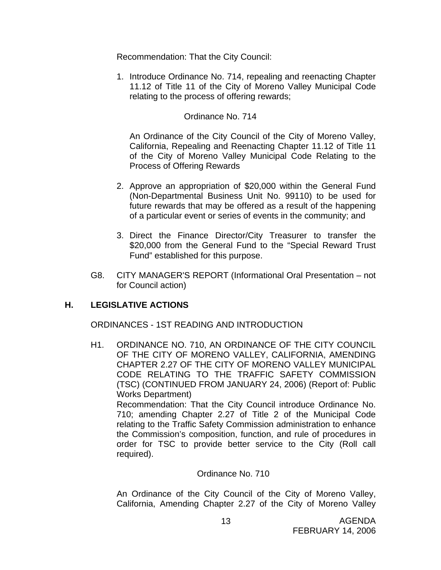Recommendation: That the City Council:

1. Introduce Ordinance No. 714, repealing and reenacting Chapter 11.12 of Title 11 of the City of Moreno Valley Municipal Code relating to the process of offering rewards;

## Ordinance No. 714

 An Ordinance of the City Council of the City of Moreno Valley, California, Repealing and Reenacting Chapter 11.12 of Title 11 of the City of Moreno Valley Municipal Code Relating to the Process of Offering Rewards

- 2. Approve an appropriation of \$20,000 within the General Fund (Non-Departmental Business Unit No. 99110) to be used for future rewards that may be offered as a result of the happening of a particular event or series of events in the community; and
- 3. Direct the Finance Director/City Treasurer to transfer the \$20,000 from the General Fund to the "Special Reward Trust Fund" established for this purpose.
- G8. CITY MANAGER'S REPORT (Informational Oral Presentation not for Council action)

# **H. LEGISLATIVE ACTIONS**

ORDINANCES - 1ST READING AND INTRODUCTION

H1. ORDINANCE NO. 710, AN ORDINANCE OF THE CITY COUNCIL OF THE CITY OF MORENO VALLEY, CALIFORNIA, AMENDING CHAPTER 2.27 OF THE CITY OF MORENO VALLEY MUNICIPAL CODE RELATING TO THE TRAFFIC SAFETY COMMISSION (TSC) (CONTINUED FROM JANUARY 24, 2006) (Report of: Public Works Department)

 Recommendation: That the City Council introduce Ordinance No. 710; amending Chapter 2.27 of Title 2 of the Municipal Code relating to the Traffic Safety Commission administration to enhance the Commission's composition, function, and rule of procedures in order for TSC to provide better service to the City (Roll call required).

### Ordinance No. 710

 An Ordinance of the City Council of the City of Moreno Valley, California, Amending Chapter 2.27 of the City of Moreno Valley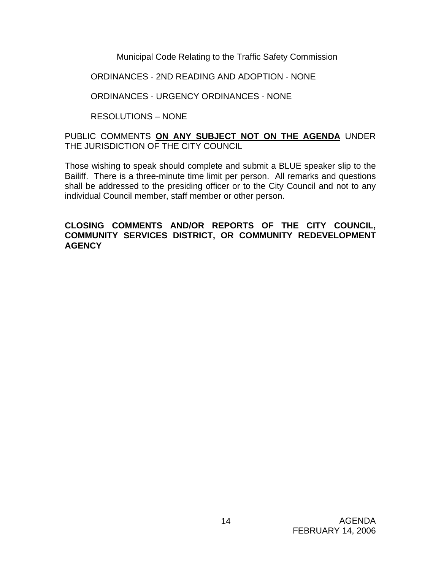Municipal Code Relating to the Traffic Safety Commission

# ORDINANCES - 2ND READING AND ADOPTION - NONE

# ORDINANCES - URGENCY ORDINANCES - NONE

RESOLUTIONS – NONE

## PUBLIC COMMENTS **ON ANY SUBJECT NOT ON THE AGENDA** UNDER THE JURISDICTION OF THE CITY COUNCIL

Those wishing to speak should complete and submit a BLUE speaker slip to the Bailiff. There is a three-minute time limit per person. All remarks and questions shall be addressed to the presiding officer or to the City Council and not to any individual Council member, staff member or other person.

### **CLOSING COMMENTS AND/OR REPORTS OF THE CITY COUNCIL, COMMUNITY SERVICES DISTRICT, OR COMMUNITY REDEVELOPMENT AGENCY**